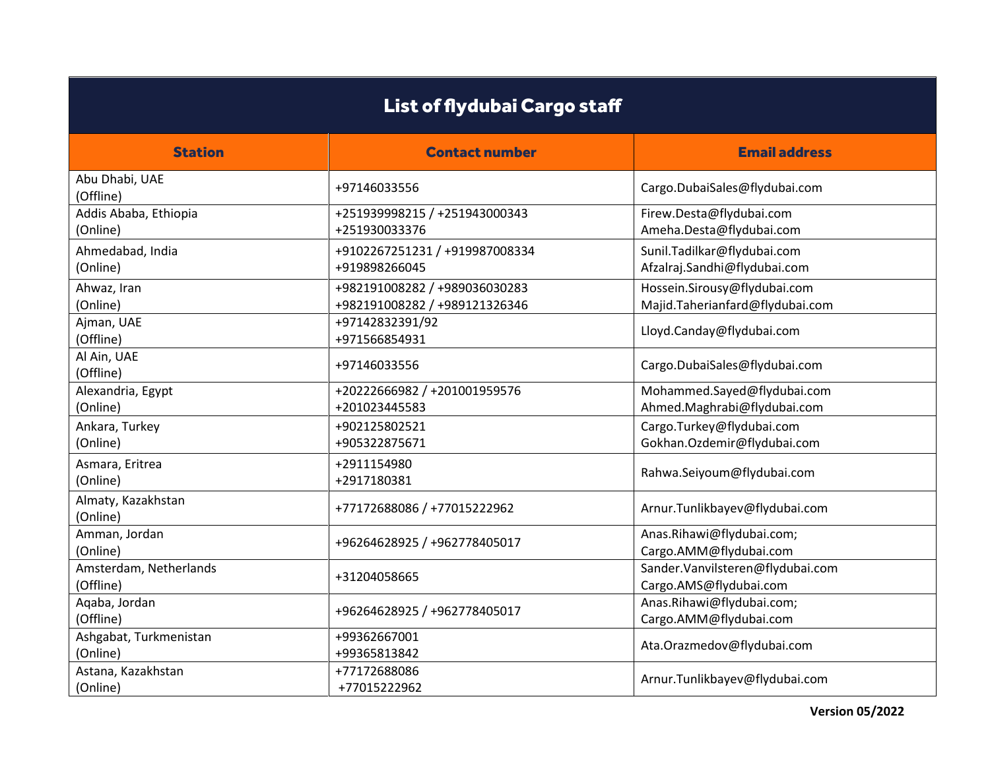| List of flydubai Cargo staff        |                                                                |                                                                 |
|-------------------------------------|----------------------------------------------------------------|-----------------------------------------------------------------|
| <b>Station</b>                      | <b>Contact number</b>                                          | <b>Email address</b>                                            |
| Abu Dhabi, UAE<br>(Offline)         | +97146033556                                                   | Cargo.DubaiSales@flydubai.com                                   |
| Addis Ababa, Ethiopia<br>(Online)   | +251939998215 / +251943000343<br>+251930033376                 | Firew.Desta@flydubai.com<br>Ameha.Desta@flydubai.com            |
| Ahmedabad, India<br>(Online)        | +9102267251231 / +919987008334<br>+919898266045                | Sunil.Tadilkar@flydubai.com<br>Afzalraj.Sandhi@flydubai.com     |
| Ahwaz, Iran<br>(Online)             | +982191008282 / +989036030283<br>+982191008282 / +989121326346 | Hossein.Sirousy@flydubai.com<br>Majid.Taherianfard@flydubai.com |
| Ajman, UAE<br>(Offline)             | +97142832391/92<br>+971566854931                               | Lloyd.Canday@flydubai.com                                       |
| Al Ain, UAE<br>(Offline)            | +97146033556                                                   | Cargo.DubaiSales@flydubai.com                                   |
| Alexandria, Egypt<br>(Online)       | +20222666982 / +201001959576<br>+201023445583                  | Mohammed.Sayed@flydubai.com<br>Ahmed.Maghrabi@flydubai.com      |
| Ankara, Turkey<br>(Online)          | +902125802521<br>+905322875671                                 | Cargo.Turkey@flydubai.com<br>Gokhan.Ozdemir@flydubai.com        |
| Asmara, Eritrea<br>(Online)         | +2911154980<br>+2917180381                                     | Rahwa.Seiyoum@flydubai.com                                      |
| Almaty, Kazakhstan<br>(Online)      | +77172688086 / +77015222962                                    | Arnur.Tunlikbayev@flydubai.com                                  |
| Amman, Jordan<br>(Online)           | +96264628925 / +962778405017                                   | Anas.Rihawi@flydubai.com;<br>Cargo.AMM@flydubai.com             |
| Amsterdam, Netherlands<br>(Offline) | +31204058665                                                   | Sander.Vanvilsteren@flydubai.com<br>Cargo.AMS@flydubai.com      |
| Aqaba, Jordan<br>(Offline)          | +96264628925 / +962778405017                                   | Anas.Rihawi@flydubai.com;<br>Cargo.AMM@flydubai.com             |
| Ashgabat, Turkmenistan<br>(Online)  | +99362667001<br>+99365813842                                   | Ata.Orazmedov@flydubai.com                                      |
| Astana, Kazakhstan<br>(Online)      | +77172688086<br>+77015222962                                   | Arnur.Tunlikbayev@flydubai.com                                  |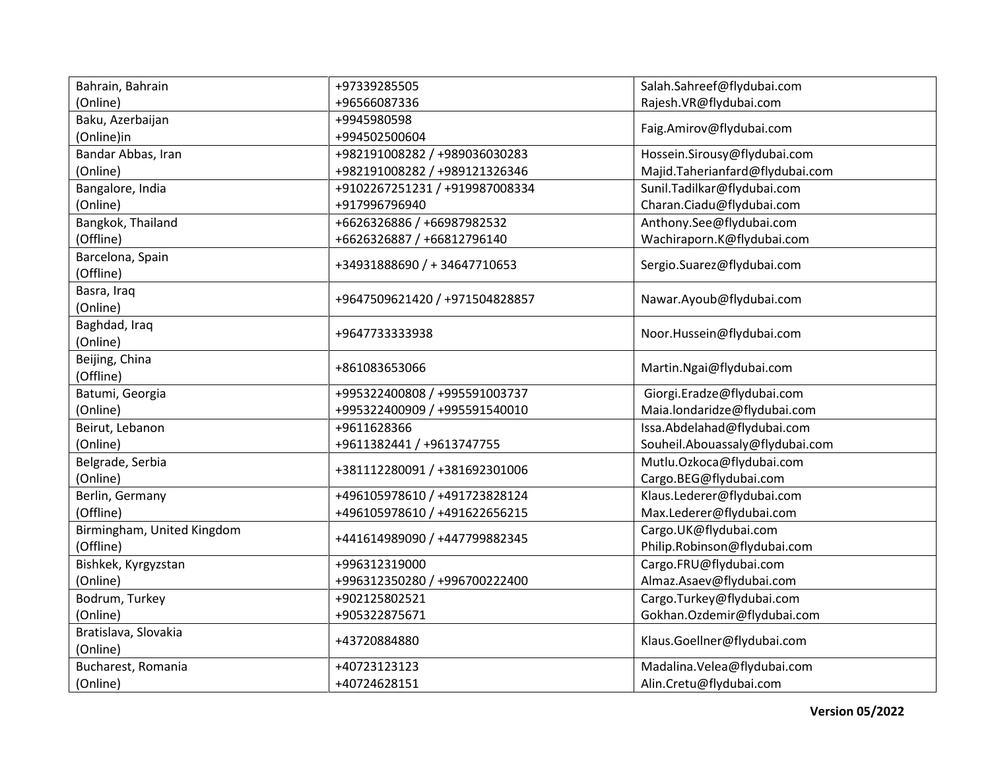| Bahrain, Bahrain              | +97339285505                   | Salah.Sahreef@flydubai.com      |
|-------------------------------|--------------------------------|---------------------------------|
| (Online)                      | +96566087336                   | Rajesh.VR@flydubai.com          |
| Baku, Azerbaijan              | +9945980598                    |                                 |
| (Online)in                    | +994502500604                  | Faig.Amirov@flydubai.com        |
| Bandar Abbas, Iran            | +982191008282 / +989036030283  | Hossein.Sirousy@flydubai.com    |
| (Online)                      | +982191008282 / +989121326346  | Majid.Taherianfard@flydubai.com |
| Bangalore, India              | +9102267251231 / +919987008334 | Sunil.Tadilkar@flydubai.com     |
| (Online)                      | +917996796940                  | Charan.Ciadu@flydubai.com       |
| Bangkok, Thailand             | +6626326886 / +66987982532     | Anthony.See@flydubai.com        |
| (Offline)                     | +6626326887 / +66812796140     | Wachiraporn.K@flydubai.com      |
| Barcelona, Spain<br>(Offline) | +34931888690 / + 34647710653   | Sergio.Suarez@flydubai.com      |
| Basra, Iraq                   |                                |                                 |
| (Online)                      | +9647509621420 / +971504828857 | Nawar.Ayoub@flydubai.com        |
| Baghdad, Iraq                 |                                |                                 |
| (Online)                      | +9647733333938                 | Noor.Hussein@flydubai.com       |
| Beijing, China<br>(Offline)   | +861083653066                  | Martin.Ngai@flydubai.com        |
| Batumi, Georgia               | +995322400808 / +995591003737  | Giorgi.Eradze@flydubai.com      |
| (Online)                      | +995322400909 / +995591540010  | Maia.londaridze@flydubai.com    |
| Beirut, Lebanon               | +9611628366                    | Issa.Abdelahad@flydubai.com     |
| (Online)                      | +9611382441 / +9613747755      | Souheil.Abouassaly@flydubai.com |
| Belgrade, Serbia              |                                | Mutlu.Ozkoca@flydubai.com       |
| (Online)                      | +381112280091 / +381692301006  | Cargo.BEG@flydubai.com          |
| Berlin, Germany               | +496105978610 / +491723828124  | Klaus.Lederer@flydubai.com      |
| (Offline)                     | +496105978610 / +491622656215  | Max.Lederer@flydubai.com        |
| Birmingham, United Kingdom    |                                | Cargo.UK@flydubai.com           |
| (Offline)                     | +441614989090 / +447799882345  | Philip.Robinson@flydubai.com    |
| Bishkek, Kyrgyzstan           | +996312319000                  | Cargo.FRU@flydubai.com          |
| (Online)                      | +996312350280 / +996700222400  | Almaz.Asaev@flydubai.com        |
| Bodrum, Turkey                | +902125802521                  | Cargo.Turkey@flydubai.com       |
| (Online)                      | +905322875671                  | Gokhan.Ozdemir@flydubai.com     |
| Bratislava, Slovakia          |                                |                                 |
| (Online)                      | +43720884880                   | Klaus.Goellner@flydubai.com     |
| Bucharest, Romania            | +40723123123                   | Madalina.Velea@flydubai.com     |
| (Online)                      | +40724628151                   | Alin.Cretu@flydubai.com         |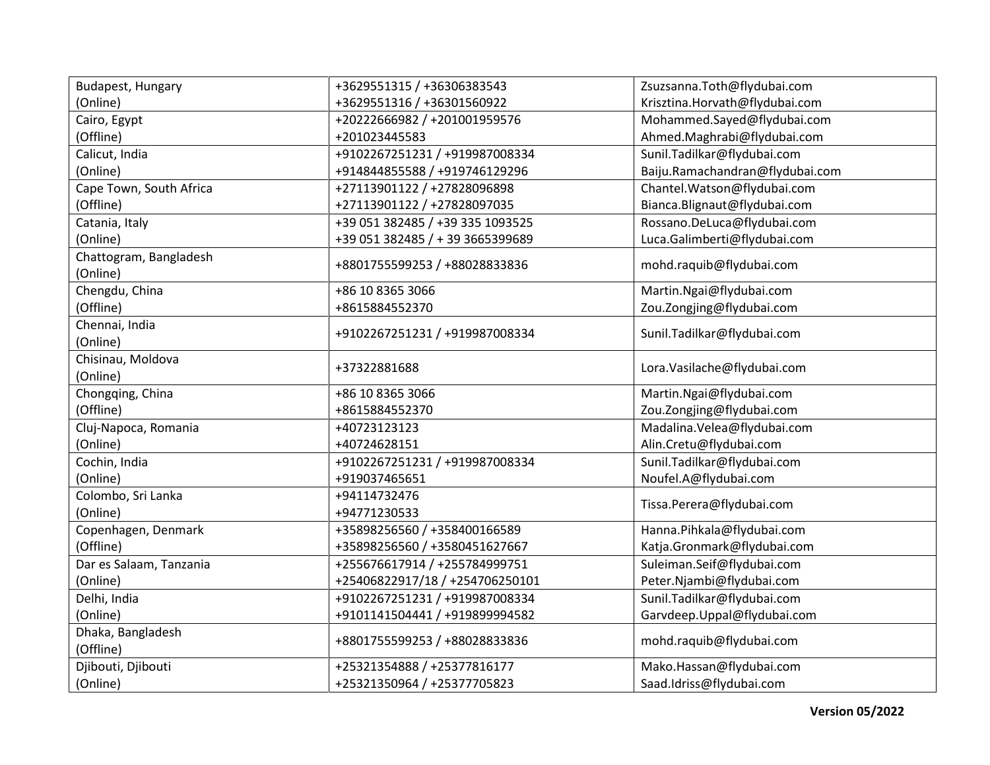| Budapest, Hungary                  | +3629551315 / +36306383543       | Zsuzsanna.Toth@flydubai.com     |
|------------------------------------|----------------------------------|---------------------------------|
| (Online)                           | +3629551316 / +36301560922       | Krisztina.Horvath@flydubai.com  |
| Cairo, Egypt                       | +20222666982 / +201001959576     | Mohammed.Sayed@flydubai.com     |
| (Offline)                          | +201023445583                    | Ahmed.Maghrabi@flydubai.com     |
| Calicut, India                     | +9102267251231 / +919987008334   | Sunil.Tadilkar@flydubai.com     |
| (Online)                           | +914844855588 / +919746129296    | Baiju.Ramachandran@flydubai.com |
| Cape Town, South Africa            | +27113901122 / +27828096898      | Chantel.Watson@flydubai.com     |
| (Offline)                          | +27113901122 / +27828097035      | Bianca.Blignaut@flydubai.com    |
| Catania, Italy                     | +39 051 382485 / +39 335 1093525 | Rossano.DeLuca@flydubai.com     |
| (Online)                           | +39 051 382485 / + 39 3665399689 | Luca.Galimberti@flydubai.com    |
| Chattogram, Bangladesh<br>(Online) | +8801755599253 / +88028833836    | mohd.raquib@flydubai.com        |
| Chengdu, China                     | +86 10 8365 3066                 | Martin.Ngai@flydubai.com        |
| (Offline)                          | +8615884552370                   | Zou.Zongjing@flydubai.com       |
| Chennai, India                     | +9102267251231 / +919987008334   | Sunil.Tadilkar@flydubai.com     |
| (Online)                           |                                  |                                 |
| Chisinau, Moldova                  | +37322881688                     | Lora.Vasilache@flydubai.com     |
| (Online)                           |                                  |                                 |
| Chongqing, China                   | +86 10 8365 3066                 | Martin.Ngai@flydubai.com        |
| (Offline)                          | +8615884552370                   | Zou.Zongjing@flydubai.com       |
| Cluj-Napoca, Romania               | +40723123123                     | Madalina.Velea@flydubai.com     |
| (Online)                           | +40724628151                     | Alin.Cretu@flydubai.com         |
| Cochin, India                      | +9102267251231 / +919987008334   | Sunil.Tadilkar@flydubai.com     |
| (Online)                           | +919037465651                    | Noufel.A@flydubai.com           |
| Colombo, Sri Lanka                 | +94114732476                     | Tissa.Perera@flydubai.com       |
| (Online)                           | +94771230533                     |                                 |
| Copenhagen, Denmark                | +35898256560 / +358400166589     | Hanna.Pihkala@flydubai.com      |
| (Offline)                          | +35898256560 / +3580451627667    | Katja.Gronmark@flydubai.com     |
| Dar es Salaam, Tanzania            | +255676617914 / +255784999751    | Suleiman.Seif@flydubai.com      |
| (Online)                           | +25406822917/18 / +254706250101  | Peter.Njambi@flydubai.com       |
| Delhi, India                       | +9102267251231 / +919987008334   | Sunil.Tadilkar@flydubai.com     |
| (Online)                           | +9101141504441 / +919899994582   | Garvdeep.Uppal@flydubai.com     |
| Dhaka, Bangladesh                  | +8801755599253 / +88028833836    | mohd.raquib@flydubai.com        |
| (Offline)                          |                                  |                                 |
| Djibouti, Djibouti                 | +25321354888 / +25377816177      | Mako.Hassan@flydubai.com        |
| (Online)                           | +25321350964 / +25377705823      | Saad.Idriss@flydubai.com        |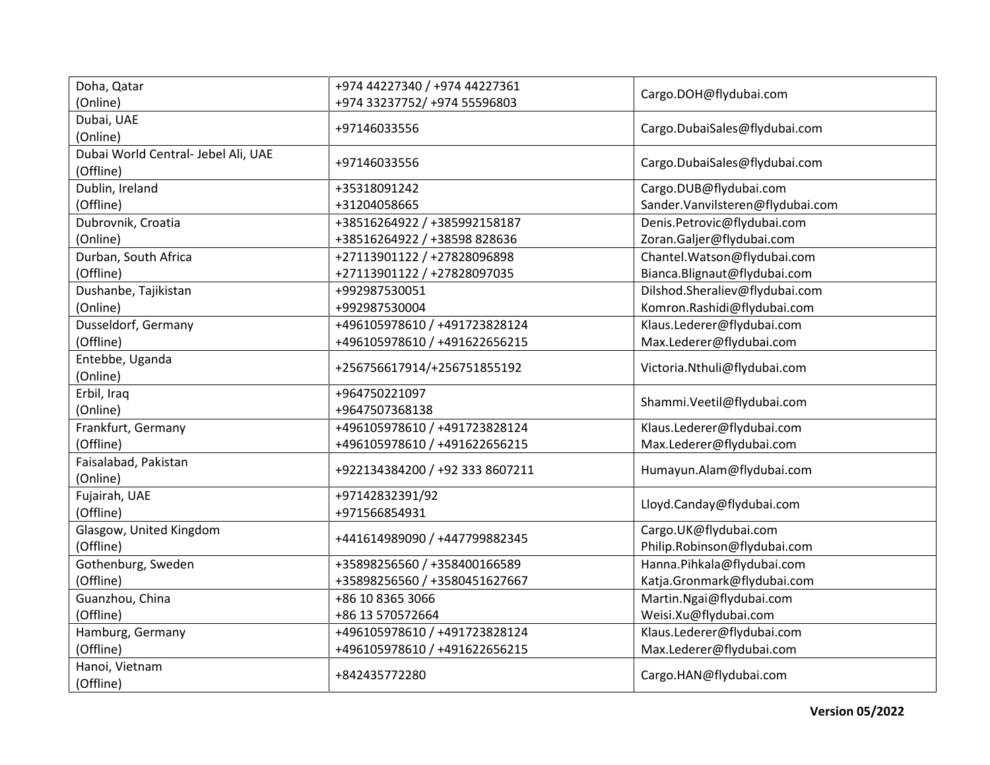| Doha, Qatar                         | +974 44227340 / +974 44227361   | Cargo.DOH@flydubai.com           |
|-------------------------------------|---------------------------------|----------------------------------|
| (Online)                            | +974 33237752/ +974 55596803    |                                  |
| Dubai, UAE                          | +97146033556                    | Cargo.DubaiSales@flydubai.com    |
| (Online)                            |                                 |                                  |
| Dubai World Central- Jebel Ali, UAE | +97146033556                    | Cargo.DubaiSales@flydubai.com    |
| (Offline)                           |                                 |                                  |
| Dublin, Ireland                     | +35318091242                    | Cargo.DUB@flydubai.com           |
| (Offline)                           | +31204058665                    | Sander.Vanvilsteren@flydubai.com |
| Dubrovnik, Croatia                  | +38516264922 / +385992158187    | Denis.Petrovic@flydubai.com      |
| (Online)                            | +38516264922 / +38598 828636    | Zoran.Galjer@flydubai.com        |
| Durban, South Africa                | +27113901122 / +27828096898     | Chantel.Watson@flydubai.com      |
| (Offline)                           | +27113901122 / +27828097035     | Bianca.Blignaut@flydubai.com     |
| Dushanbe, Tajikistan                | +992987530051                   | Dilshod.Sheraliev@flydubai.com   |
| (Online)                            | +992987530004                   | Komron.Rashidi@flydubai.com      |
| Dusseldorf, Germany                 | +496105978610 / +491723828124   | Klaus.Lederer@flydubai.com       |
| (Offline)                           | +496105978610 / +491622656215   | Max.Lederer@flydubai.com         |
| Entebbe, Uganda                     |                                 |                                  |
| (Online)                            | +256756617914/+256751855192     | Victoria.Nthuli@flydubai.com     |
| Erbil, Iraq                         | +964750221097                   |                                  |
| (Online)                            | +9647507368138                  | Shammi.Veetil@flydubai.com       |
| Frankfurt, Germany                  | +496105978610 / +491723828124   | Klaus.Lederer@flydubai.com       |
| (Offline)                           | +496105978610 / +491622656215   | Max.Lederer@flydubai.com         |
| Faisalabad, Pakistan                | +922134384200 / +92 333 8607211 | Humayun.Alam@flydubai.com        |
| (Online)                            |                                 |                                  |
| Fujairah, UAE                       | +97142832391/92                 | Lloyd.Canday@flydubai.com        |
| (Offline)                           | +971566854931                   |                                  |
| Glasgow, United Kingdom             | +441614989090 / +447799882345   | Cargo.UK@flydubai.com            |
| (Offline)                           |                                 | Philip.Robinson@flydubai.com     |
| Gothenburg, Sweden                  | +35898256560 / +358400166589    | Hanna.Pihkala@flydubai.com       |
| (Offline)                           | +35898256560 / +3580451627667   | Katja.Gronmark@flydubai.com      |
| Guanzhou, China                     | +86 10 8365 3066                | Martin.Ngai@flydubai.com         |
| (Offline)                           | +86 13 570572664                | Weisi.Xu@flydubai.com            |
| Hamburg, Germany                    | +496105978610 / +491723828124   | Klaus.Lederer@flydubai.com       |
| (Offline)                           | +496105978610 / +491622656215   | Max.Lederer@flydubai.com         |
| Hanoi, Vietnam                      |                                 |                                  |
| (Offline)                           | +842435772280                   | Cargo.HAN@flydubai.com           |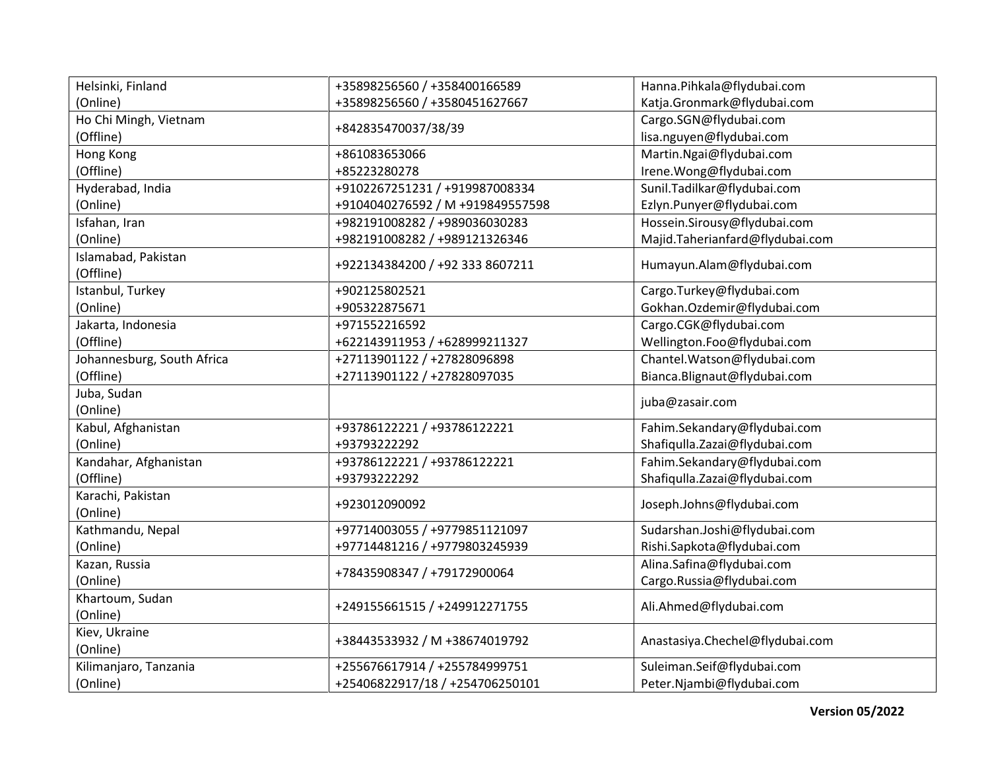| Helsinki, Finland                | +35898256560 / +358400166589     | Hanna.Pihkala@flydubai.com      |
|----------------------------------|----------------------------------|---------------------------------|
| (Online)                         | +35898256560 / +3580451627667    | Katja.Gronmark@flydubai.com     |
| Ho Chi Mingh, Vietnam            |                                  | Cargo.SGN@flydubai.com          |
| (Offline)                        | +842835470037/38/39              | lisa.nguyen@flydubai.com        |
| Hong Kong                        | +861083653066                    | Martin.Ngai@flydubai.com        |
| (Offline)                        | +85223280278                     | Irene.Wong@flydubai.com         |
| Hyderabad, India                 | +9102267251231 / +919987008334   | Sunil.Tadilkar@flydubai.com     |
| (Online)                         | +9104040276592 / M +919849557598 | Ezlyn.Punyer@flydubai.com       |
| Isfahan, Iran                    | +982191008282 / +989036030283    | Hossein.Sirousy@flydubai.com    |
| (Online)                         | +982191008282 / +989121326346    | Majid.Taherianfard@flydubai.com |
| Islamabad, Pakistan<br>(Offline) | +922134384200 / +92 333 8607211  | Humayun.Alam@flydubai.com       |
| Istanbul, Turkey                 | +902125802521                    | Cargo.Turkey@flydubai.com       |
| (Online)                         | +905322875671                    | Gokhan.Ozdemir@flydubai.com     |
| Jakarta, Indonesia               | +971552216592                    | Cargo.CGK@flydubai.com          |
| (Offline)                        | +622143911953 / +628999211327    | Wellington.Foo@flydubai.com     |
| Johannesburg, South Africa       | +27113901122 / +27828096898      | Chantel.Watson@flydubai.com     |
| (Offline)                        | +27113901122 / +27828097035      | Bianca.Blignaut@flydubai.com    |
| Juba, Sudan                      |                                  | juba@zasair.com                 |
| (Online)                         |                                  |                                 |
| Kabul, Afghanistan               | +93786122221 / +93786122221      | Fahim.Sekandary@flydubai.com    |
| (Online)                         | +93793222292                     | Shafiqulla. Zazai@flydubai.com  |
| Kandahar, Afghanistan            | +93786122221 / +93786122221      | Fahim.Sekandary@flydubai.com    |
| (Offline)                        | +93793222292                     | Shafiqulla. Zazai@flydubai.com  |
| Karachi, Pakistan                | +923012090092                    | Joseph.Johns@flydubai.com       |
| (Online)                         |                                  |                                 |
| Kathmandu, Nepal                 | +97714003055 / +9779851121097    | Sudarshan.Joshi@flydubai.com    |
| (Online)                         | +97714481216 / +9779803245939    | Rishi.Sapkota@flydubai.com      |
| Kazan, Russia                    | +78435908347 / +79172900064      | Alina.Safina@flydubai.com       |
| (Online)                         |                                  | Cargo.Russia@flydubai.com       |
| Khartoum, Sudan                  | +249155661515 / +249912271755    | Ali.Ahmed@flydubai.com          |
| (Online)                         |                                  |                                 |
| Kiev, Ukraine                    | +38443533932 / M +38674019792    | Anastasiya.Chechel@flydubai.com |
| (Online)                         |                                  |                                 |
| Kilimanjaro, Tanzania            | +255676617914 / +255784999751    | Suleiman.Seif@flydubai.com      |
| (Online)                         | +25406822917/18 / +254706250101  | Peter.Njambi@flydubai.com       |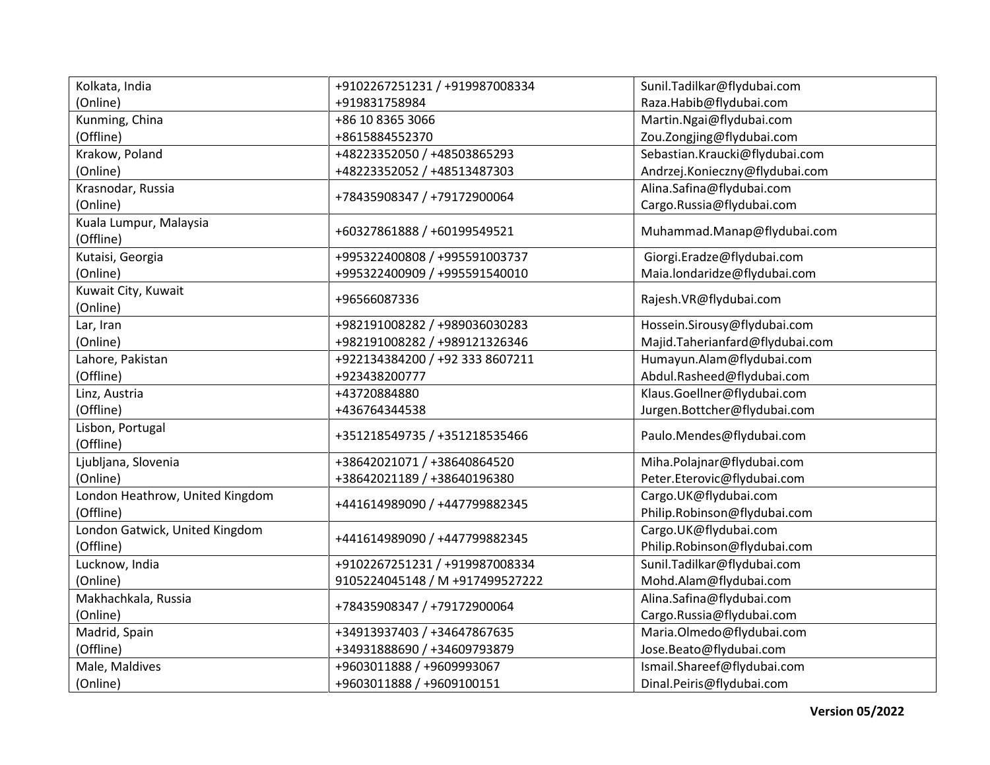| Kolkata, India                  | +9102267251231 / +919987008334  | Sunil.Tadilkar@flydubai.com     |
|---------------------------------|---------------------------------|---------------------------------|
| (Online)                        | +919831758984                   | Raza.Habib@flydubai.com         |
| Kunming, China                  | +86 10 8365 3066                | Martin.Ngai@flydubai.com        |
| (Offline)                       | +8615884552370                  | Zou.Zongjing@flydubai.com       |
| Krakow, Poland                  | +48223352050 / +48503865293     | Sebastian.Kraucki@flydubai.com  |
| (Online)                        | +48223352052 / +48513487303     | Andrzej.Konieczny@flydubai.com  |
| Krasnodar, Russia               |                                 | Alina.Safina@flydubai.com       |
| (Online)                        | +78435908347 / +79172900064     | Cargo.Russia@flydubai.com       |
| Kuala Lumpur, Malaysia          |                                 |                                 |
| (Offline)                       | +60327861888 / +60199549521     | Muhammad.Manap@flydubai.com     |
| Kutaisi, Georgia                | +995322400808 / +995591003737   | Giorgi.Eradze@flydubai.com      |
| (Online)                        | +995322400909 / +995591540010   | Maia.londaridze@flydubai.com    |
| Kuwait City, Kuwait             |                                 |                                 |
| (Online)                        | +96566087336                    | Rajesh.VR@flydubai.com          |
| Lar, Iran                       | +982191008282 / +989036030283   | Hossein.Sirousy@flydubai.com    |
| (Online)                        | +982191008282 / +989121326346   | Majid.Taherianfard@flydubai.com |
| Lahore, Pakistan                | +922134384200 / +92 333 8607211 | Humayun.Alam@flydubai.com       |
| (Offline)                       | +923438200777                   | Abdul.Rasheed@flydubai.com      |
| Linz, Austria                   | +43720884880                    | Klaus.Goellner@flydubai.com     |
| (Offline)                       | +436764344538                   | Jurgen.Bottcher@flydubai.com    |
| Lisbon, Portugal                |                                 |                                 |
| (Offline)                       | +351218549735 / +351218535466   | Paulo.Mendes@flydubai.com       |
| Ljubljana, Slovenia             | +38642021071 / +38640864520     | Miha.Polajnar@flydubai.com      |
| (Online)                        | +38642021189 / +38640196380     | Peter.Eterovic@flydubai.com     |
| London Heathrow, United Kingdom |                                 | Cargo.UK@flydubai.com           |
| (Offline)                       | +441614989090 / +447799882345   | Philip.Robinson@flydubai.com    |
| London Gatwick, United Kingdom  |                                 | Cargo.UK@flydubai.com           |
| (Offline)                       | +441614989090 / +447799882345   | Philip.Robinson@flydubai.com    |
| Lucknow, India                  | +9102267251231 / +919987008334  | Sunil.Tadilkar@flydubai.com     |
| (Online)                        | 9105224045148 / M +917499527222 | Mohd.Alam@flydubai.com          |
| Makhachkala, Russia             |                                 | Alina.Safina@flydubai.com       |
| (Online)                        | +78435908347 / +79172900064     | Cargo.Russia@flydubai.com       |
| Madrid, Spain                   | +34913937403 / +34647867635     | Maria.Olmedo@flydubai.com       |
| (Offline)                       | +34931888690 / +34609793879     | Jose.Beato@flydubai.com         |
| Male, Maldives                  | +9603011888 / +9609993067       | Ismail.Shareef@flydubai.com     |
| (Online)                        | +9603011888 / +9609100151       | Dinal.Peiris@flydubai.com       |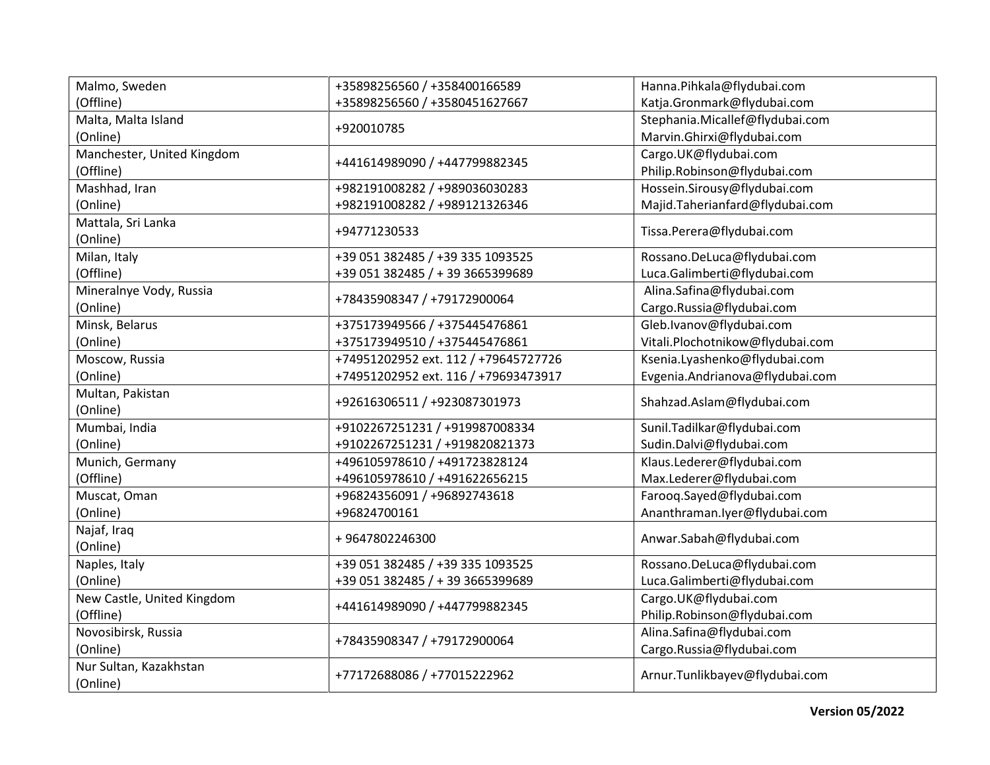| Malmo, Sweden              | +35898256560 / +358400166589         | Hanna.Pihkala@flydubai.com       |
|----------------------------|--------------------------------------|----------------------------------|
| (Offline)                  | +35898256560 / +3580451627667        | Katja.Gronmark@flydubai.com      |
| Malta, Malta Island        |                                      | Stephania.Micallef@flydubai.com  |
| (Online)                   | +920010785                           | Marvin.Ghirxi@flydubai.com       |
| Manchester, United Kingdom |                                      | Cargo.UK@flydubai.com            |
| (Offline)                  | +441614989090 / +447799882345        | Philip.Robinson@flydubai.com     |
| Mashhad, Iran              | +982191008282 / +989036030283        | Hossein.Sirousy@flydubai.com     |
| (Online)                   | +982191008282 / +989121326346        | Majid.Taherianfard@flydubai.com  |
| Mattala, Sri Lanka         |                                      |                                  |
| (Online)                   | +94771230533                         | Tissa.Perera@flydubai.com        |
| Milan, Italy               | +39 051 382485 / +39 335 1093525     | Rossano.DeLuca@flydubai.com      |
| (Offline)                  | +39 051 382485 / + 39 3665399689     | Luca.Galimberti@flydubai.com     |
| Mineralnye Vody, Russia    |                                      | Alina.Safina@flydubai.com        |
| (Online)                   | +78435908347 / +79172900064          | Cargo.Russia@flydubai.com        |
| Minsk, Belarus             | +375173949566 / +375445476861        | Gleb.Ivanov@flydubai.com         |
| (Online)                   | +375173949510 / +375445476861        | Vitali.Plochotnikow@flydubai.com |
| Moscow, Russia             | +74951202952 ext. 112 / +79645727726 | Ksenia.Lyashenko@flydubai.com    |
| (Online)                   | +74951202952 ext. 116 / +79693473917 | Evgenia.Andrianova@flydubai.com  |
| Multan, Pakistan           |                                      |                                  |
| (Online)                   | +92616306511 / +923087301973         | Shahzad.Aslam@flydubai.com       |
| Mumbai, India              | +9102267251231 / +919987008334       | Sunil.Tadilkar@flydubai.com      |
| (Online)                   | +9102267251231 / +919820821373       | Sudin.Dalvi@flydubai.com         |
| Munich, Germany            | +496105978610 / +491723828124        | Klaus.Lederer@flydubai.com       |
| (Offline)                  | +496105978610 / +491622656215        | Max.Lederer@flydubai.com         |
| Muscat, Oman               | +96824356091 / +96892743618          | Farooq.Sayed@flydubai.com        |
| (Online)                   | +96824700161                         | Ananthraman.lyer@flydubai.com    |
| Najaf, Iraq                |                                      |                                  |
| (Online)                   | +9647802246300                       | Anwar.Sabah@flydubai.com         |
| Naples, Italy              | +39 051 382485 / +39 335 1093525     | Rossano.DeLuca@flydubai.com      |
| (Online)                   | +39 051 382485 / + 39 3665399689     | Luca.Galimberti@flydubai.com     |
| New Castle, United Kingdom |                                      | Cargo.UK@flydubai.com            |
| (Offline)                  | +441614989090 / +447799882345        | Philip.Robinson@flydubai.com     |
| Novosibirsk, Russia        |                                      | Alina.Safina@flydubai.com        |
| (Online)                   | +78435908347 / +79172900064          | Cargo.Russia@flydubai.com        |
| Nur Sultan, Kazakhstan     |                                      |                                  |
| (Online)                   | +77172688086 / +77015222962          | Arnur.Tunlikbayev@flydubai.com   |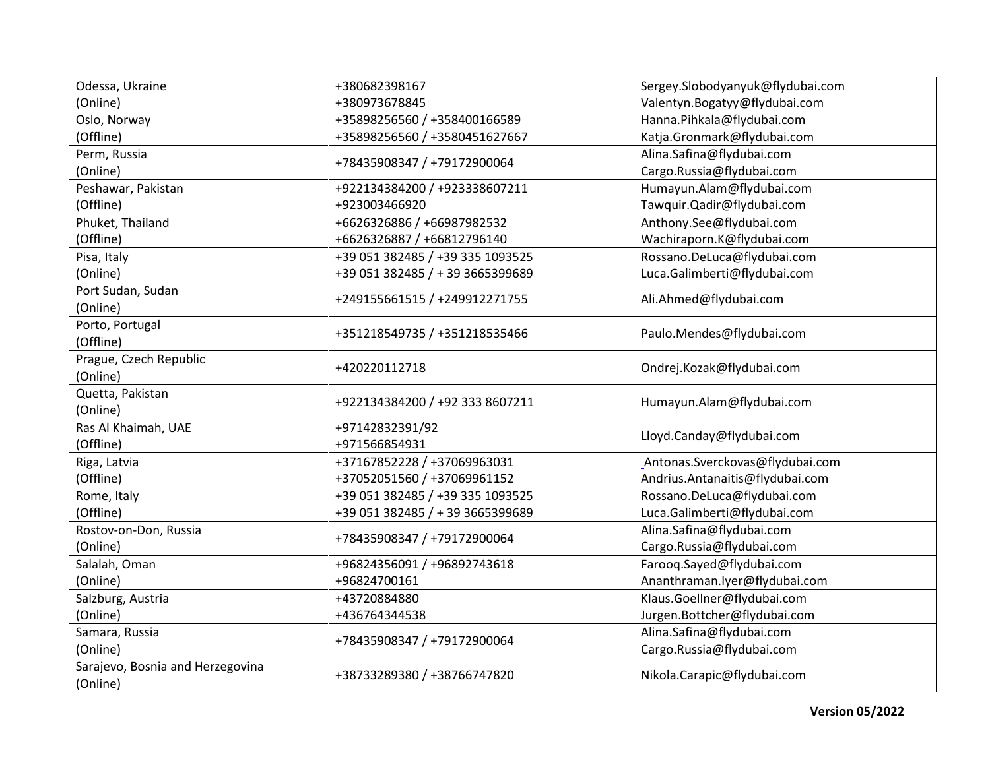| Odessa, Ukraine                  | +380682398167                    | Sergey.Slobodyanyuk@flydubai.com |
|----------------------------------|----------------------------------|----------------------------------|
| (Online)                         | +380973678845                    | Valentyn.Bogatyy@flydubai.com    |
| Oslo, Norway                     | +35898256560 / +358400166589     | Hanna.Pihkala@flydubai.com       |
| (Offline)                        | +35898256560 / +3580451627667    | Katja.Gronmark@flydubai.com      |
| Perm, Russia                     |                                  | Alina.Safina@flydubai.com        |
| (Online)                         | +78435908347 / +79172900064      | Cargo.Russia@flydubai.com        |
| Peshawar, Pakistan               | +922134384200 / +923338607211    | Humayun.Alam@flydubai.com        |
| (Offline)                        | +923003466920                    | Tawquir.Qadir@flydubai.com       |
| Phuket, Thailand                 | +6626326886 / +66987982532       | Anthony.See@flydubai.com         |
| (Offline)                        | +6626326887 / +66812796140       | Wachiraporn.K@flydubai.com       |
| Pisa, Italy                      | +39 051 382485 / +39 335 1093525 | Rossano.DeLuca@flydubai.com      |
| (Online)                         | +39 051 382485 / + 39 3665399689 | Luca.Galimberti@flydubai.com     |
| Port Sudan, Sudan                |                                  |                                  |
| (Online)                         | +249155661515 / +249912271755    | Ali.Ahmed@flydubai.com           |
| Porto, Portugal                  |                                  |                                  |
| (Offline)                        | +351218549735 / +351218535466    | Paulo.Mendes@flydubai.com        |
| Prague, Czech Republic           |                                  |                                  |
| (Online)                         | +420220112718                    | Ondrej.Kozak@flydubai.com        |
| Quetta, Pakistan                 |                                  |                                  |
| (Online)                         | +922134384200 / +92 333 8607211  | Humayun.Alam@flydubai.com        |
| Ras Al Khaimah, UAE              | +97142832391/92                  |                                  |
| (Offline)                        | +971566854931                    | Lloyd.Canday@flydubai.com        |
| Riga, Latvia                     | +37167852228 / +37069963031      | Antonas.Sverckovas@flydubai.com  |
| (Offline)                        | +37052051560 / +37069961152      | Andrius.Antanaitis@flydubai.com  |
| Rome, Italy                      | +39 051 382485 / +39 335 1093525 | Rossano.DeLuca@flydubai.com      |
| (Offline)                        | +39 051 382485 / + 39 3665399689 | Luca.Galimberti@flydubai.com     |
| Rostov-on-Don, Russia            |                                  | Alina.Safina@flydubai.com        |
| (Online)                         | +78435908347 / +79172900064      | Cargo.Russia@flydubai.com        |
| Salalah, Oman                    | +96824356091 / +96892743618      | Farooq.Sayed@flydubai.com        |
| (Online)                         | +96824700161                     | Ananthraman.lyer@flydubai.com    |
| Salzburg, Austria                | +43720884880                     | Klaus.Goellner@flydubai.com      |
| (Online)                         | +436764344538                    | Jurgen.Bottcher@flydubai.com     |
| Samara, Russia                   |                                  | Alina.Safina@flydubai.com        |
| (Online)                         | +78435908347 / +79172900064      | Cargo.Russia@flydubai.com        |
| Sarajevo, Bosnia and Herzegovina |                                  |                                  |
| (Online)                         | +38733289380 / +38766747820      | Nikola.Carapic@flydubai.com      |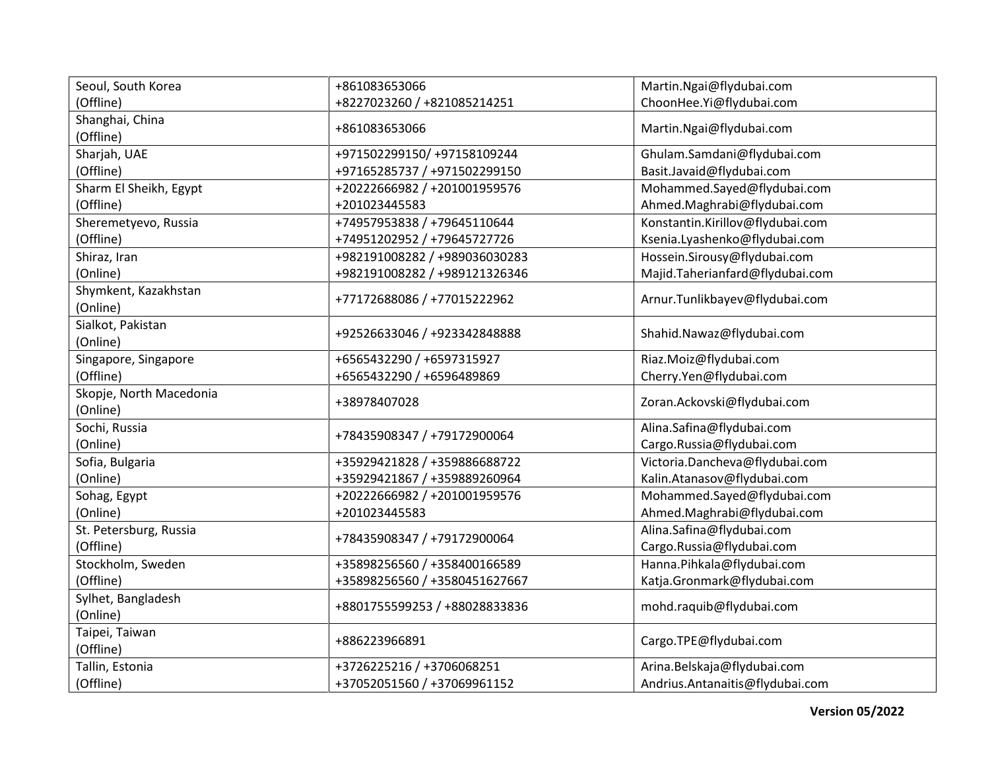| Seoul, South Korea      | +861083653066                 | Martin.Ngai@flydubai.com         |
|-------------------------|-------------------------------|----------------------------------|
| (Offline)               | +8227023260 / +821085214251   | ChoonHee.Yi@flydubai.com         |
| Shanghai, China         |                               |                                  |
| (Offline)               | +861083653066                 | Martin.Ngai@flydubai.com         |
| Sharjah, UAE            | +971502299150/ +97158109244   | Ghulam.Samdani@flydubai.com      |
| (Offline)               | +97165285737 / +971502299150  | Basit.Javaid@flydubai.com        |
| Sharm El Sheikh, Egypt  | +20222666982 / +201001959576  | Mohammed.Sayed@flydubai.com      |
| (Offline)               | +201023445583                 | Ahmed.Maghrabi@flydubai.com      |
| Sheremetyevo, Russia    | +74957953838 / +79645110644   | Konstantin.Kirillov@flydubai.com |
| (Offline)               | +74951202952 / +79645727726   | Ksenia.Lyashenko@flydubai.com    |
| Shiraz, Iran            | +982191008282 / +989036030283 | Hossein.Sirousy@flydubai.com     |
| (Online)                | +982191008282 / +989121326346 | Majid.Taherianfard@flydubai.com  |
| Shymkent, Kazakhstan    |                               |                                  |
| (Online)                | +77172688086 / +77015222962   | Arnur.Tunlikbayev@flydubai.com   |
| Sialkot, Pakistan       |                               |                                  |
| (Online)                | +92526633046 / +923342848888  | Shahid.Nawaz@flydubai.com        |
| Singapore, Singapore    | +6565432290 / +6597315927     | Riaz.Moiz@flydubai.com           |
| (Offline)               | +6565432290 / +6596489869     | Cherry.Yen@flydubai.com          |
| Skopje, North Macedonia |                               |                                  |
| (Online)                | +38978407028                  | Zoran.Ackovski@flydubai.com      |
| Sochi, Russia           | +78435908347 / +79172900064   | Alina.Safina@flydubai.com        |
| (Online)                |                               | Cargo.Russia@flydubai.com        |
| Sofia, Bulgaria         | +35929421828 / +359886688722  | Victoria.Dancheva@flydubai.com   |
| (Online)                | +35929421867 / +359889260964  | Kalin.Atanasov@flydubai.com      |
| Sohag, Egypt            | +20222666982 / +201001959576  | Mohammed.Sayed@flydubai.com      |
| (Online)                | +201023445583                 | Ahmed.Maghrabi@flydubai.com      |
| St. Petersburg, Russia  |                               | Alina.Safina@flydubai.com        |
| (Offline)               | +78435908347 / +79172900064   | Cargo.Russia@flydubai.com        |
| Stockholm, Sweden       | +35898256560 / +358400166589  | Hanna.Pihkala@flydubai.com       |
| (Offline)               | +35898256560 / +3580451627667 | Katja.Gronmark@flydubai.com      |
| Sylhet, Bangladesh      |                               |                                  |
| (Online)                | +8801755599253 / +88028833836 | mohd.raquib@flydubai.com         |
| Taipei, Taiwan          |                               |                                  |
| (Offline)               | +886223966891                 | Cargo.TPE@flydubai.com           |
| Tallin, Estonia         | +3726225216 / +3706068251     | Arina.Belskaja@flydubai.com      |
| (Offline)               | +37052051560 / +37069961152   | Andrius.Antanaitis@flydubai.com  |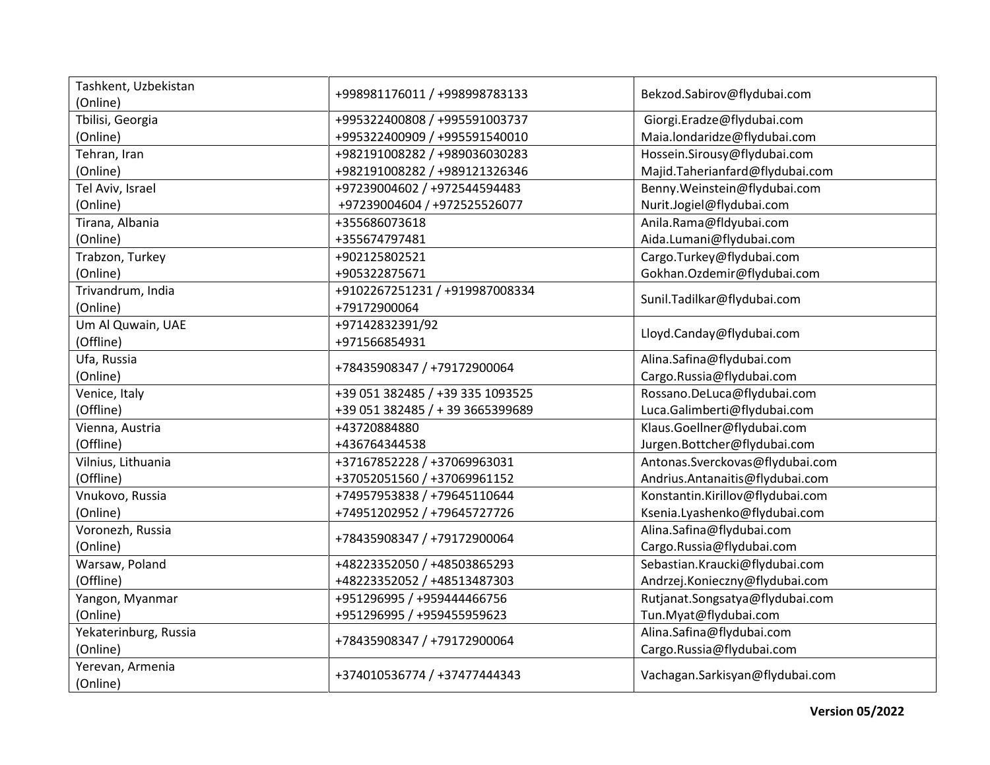| Tashkent, Uzbekistan         |                                  | Bekzod.Sabirov@flydubai.com      |
|------------------------------|----------------------------------|----------------------------------|
| (Online)                     | +998981176011 / +998998783133    |                                  |
| Tbilisi, Georgia             | +995322400808 / +995591003737    | Giorgi.Eradze@flydubai.com       |
| (Online)                     | +995322400909 / +995591540010    | Maia.londaridze@flydubai.com     |
| Tehran, Iran                 | +982191008282 / +989036030283    | Hossein.Sirousy@flydubai.com     |
| (Online)                     | +982191008282 / +989121326346    | Majid.Taherianfard@flydubai.com  |
| Tel Aviv, Israel             | +97239004602 / +972544594483     | Benny.Weinstein@flydubai.com     |
| (Online)                     | +97239004604 / +972525526077     | Nurit.Jogiel@flydubai.com        |
| Tirana, Albania              | +355686073618                    | Anila.Rama@fldyubai.com          |
| (Online)                     | +355674797481                    | Aida.Lumani@flydubai.com         |
| Trabzon, Turkey              | +902125802521                    | Cargo.Turkey@flydubai.com        |
| (Online)                     | +905322875671                    | Gokhan.Ozdemir@flydubai.com      |
| Trivandrum, India            | +9102267251231 / +919987008334   |                                  |
| (Online)                     | +79172900064                     | Sunil.Tadilkar@flydubai.com      |
| Um Al Quwain, UAE            | +97142832391/92                  |                                  |
| (Offline)                    | +971566854931                    | Lloyd.Canday@flydubai.com        |
| Ufa, Russia                  |                                  | Alina.Safina@flydubai.com        |
| (Online)                     | +78435908347 / +79172900064      | Cargo.Russia@flydubai.com        |
| Venice, Italy                | +39 051 382485 / +39 335 1093525 | Rossano.DeLuca@flydubai.com      |
| (Offline)                    | +39 051 382485 / + 39 3665399689 | Luca.Galimberti@flydubai.com     |
| Vienna, Austria              | +43720884880                     | Klaus.Goellner@flydubai.com      |
| (Offline)                    | +436764344538                    | Jurgen.Bottcher@flydubai.com     |
| Vilnius, Lithuania           | +37167852228 / +37069963031      | Antonas.Sverckovas@flydubai.com  |
| (Offline)                    | +37052051560 / +37069961152      | Andrius.Antanaitis@flydubai.com  |
| Vnukovo, Russia              | +74957953838 / +79645110644      | Konstantin.Kirillov@flydubai.com |
| (Online)                     | +74951202952 / +79645727726      | Ksenia.Lyashenko@flydubai.com    |
| Voronezh, Russia             |                                  | Alina.Safina@flydubai.com        |
| (Online)                     | +78435908347 / +79172900064      | Cargo.Russia@flydubai.com        |
| Warsaw, Poland               | +48223352050 / +48503865293      | Sebastian.Kraucki@flydubai.com   |
| (Offline)                    | +48223352052 / +48513487303      | Andrzej.Konieczny@flydubai.com   |
| Yangon, Myanmar              | +951296995 / +959444466756       | Rutjanat.Songsatya@flydubai.com  |
| (Online)                     | +951296995 / +959455959623       | Tun.Myat@flydubai.com            |
| Yekaterinburg, Russia        |                                  | Alina.Safina@flydubai.com        |
| (Online)                     | +78435908347 / +79172900064      | Cargo.Russia@flydubai.com        |
| Yerevan, Armenia<br>(Online) | +374010536774 / +37477444343     | Vachagan.Sarkisyan@flydubai.com  |